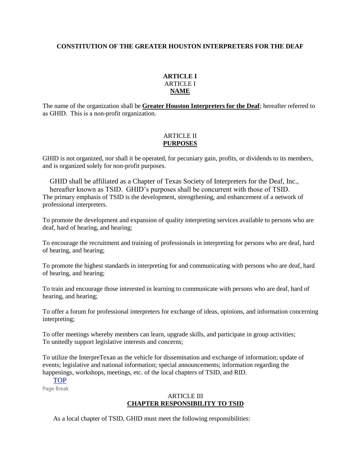## **CONSTITUTION OF THE GREATER HOUSTON INTERPRETERS FOR THE DEAF**

## **ARTICLE I** ARTICLE I **NAME**

The name of the organization shall be **Greater Houston Interpreters for the Deaf**; hereafter referred to as GHID.  This is a non-profit organization.

## ARTICLE II **PURPOSES**

GHID is not organized, nor shall it be operated, for pecuniary gain, profits, or dividends to its members, and is organized solely for non-profit purposes.

GHID shall be affiliated as a Chapter of Texas Society of Interpreters for the Deaf, Inc., hereafter known as TSID.  GHID's purposes shall be concurrent with those of TSID.  The primary emphasis of TSID is the development, strengthening, and enhancement of a network of professional interpreters.

To promote the development and expansion of quality interpreting services available to persons who are deaf, hard of hearing, and hearing;

To encourage the recruitment and training of professionals in interpreting for persons who are deaf, hard of hearing, and hearing;

To promote the highest standards in interpreting for and communicating with persons who are deaf, hard of hearing, and hearing;

To train and encourage those interested in learning to communicate with persons who are deaf, hard of hearing, and hearing;

To offer a forum for professional interpreters for exchange of ideas, opinions, and information concerning interpreting;

To offer meetings whereby members can learn, upgrade skills, and participate in group activities; To unitedly support legislative interests and concerns;

To utilize the InterpreTexan as the vehicle for dissemination and exchange of information; update of events; legislative and national information; special announcements; information regarding the happenings, workshops, meetings, etc. of the local chapters of TSID, and RID.

# [TOP](http://www.ghid.tsid.org/Resources/Documents/GHIDConstitution.htm)

Page Break

#### ARTICLE III **CHAPTER RESPONSIBILITY TO TSID**

As a local chapter of TSID, GHID must meet the following responsibilities: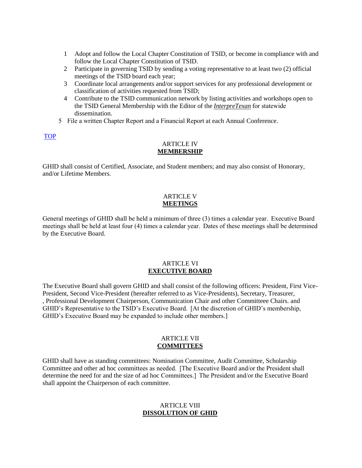- 1        Adopt and follow the Local Chapter Constitution of TSID, or become in compliance with and follow the Local Chapter Constitution of TSID.
- 2        Participate in governing TSID by sending a voting representative to at least two (2) official meetings of the TSID board each year;
- 3        Coordinate local arrangements and/or support services for any professional development or classification of activities requested from TSID;
- 4        Contribute to the TSID communication network by listing activities and workshops open to the TSID General Membership with the Editor of the *InterpreTexan* for statewide dissemination.
- 5    File a written Chapter Report and a Financial Report at each Annual Conference.

## [TOP](http://www.ghid.tsid.org/Resources/Documents/GHIDConstitution.htm)

#### ARTICLE IV **MEMBERSHIP**

GHID shall consist of Certified, Associate, and Student members; and may also consist of Honorary, and/or Lifetime Members.

#### ARTICLE V **MEETINGS**

General meetings of GHID shall be held a minimum of three (3) times a calendar year.  Executive Board meetings shall be held at least four (4) times a calendar year.  Dates of these meetings shall be determined by the Executive Board.

#### ARTICLE VI **EXECUTIVE BOARD**

The Executive Board shall govern GHID and shall consist of the following officers: President, First Vice-President, Second Vice-President (hereafter referred to as Vice-Presidents), Secretary, Treasurer, , Professional Development Chairperson, Communication Chair and other Committeee Chairs. and GHID's Representative to the TSID's Executive Board.  [At the discretion of GHID's membership, GHID's Executive Board may be expanded to include other members.]

#### ARTICLE VII **COMMITTEES**

GHID shall have as standing committees: Nomination Committee, Audit Committee, Scholarship Committee and other ad hoc committees as needed.  [The Executive Board and/or the President shall determine the need for and the size of ad hoc Committees.]  The President and/or the Executive Board shall appoint the Chairperson of each committee.

## ARTICLE VIII **DISSOLUTION OF GHID**